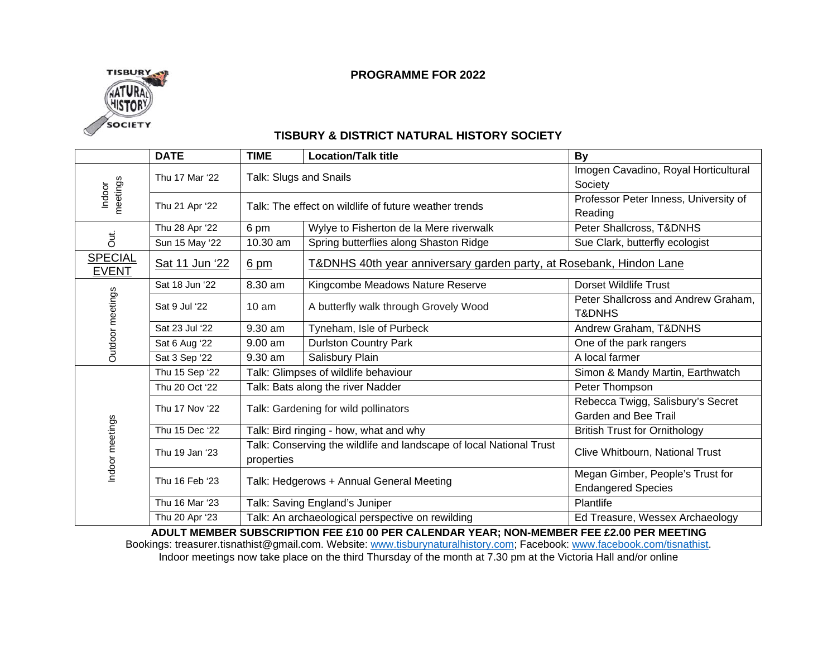# **TISBURY** SOCIETY

#### **PROGRAMME FOR 2022**

#### **TISBURY & DISTRICT NATURAL HISTORY SOCIETY**

|                                                                                                     | <b>DATE</b>    | <b>TIME</b>                                                                       | <b>Location/Talk title</b>                                          | <b>By</b>                             |
|-----------------------------------------------------------------------------------------------------|----------------|-----------------------------------------------------------------------------------|---------------------------------------------------------------------|---------------------------------------|
| meetings<br>Indoor<br>Jut.<br><b>SPECIAL</b><br><b>EVENT</b><br>Outdoor meetings<br>Indoor meetings | Thu 17 Mar '22 | Talk: Slugs and Snails                                                            |                                                                     | Imogen Cavadino, Royal Horticultural  |
|                                                                                                     |                |                                                                                   |                                                                     | Society                               |
|                                                                                                     | Thu 21 Apr '22 | Talk: The effect on wildlife of future weather trends                             |                                                                     | Professor Peter Inness, University of |
|                                                                                                     |                |                                                                                   |                                                                     | Reading                               |
|                                                                                                     | Thu 28 Apr '22 | 6 pm                                                                              | Wylye to Fisherton de la Mere riverwalk                             | Peter Shallcross, T&DNHS              |
|                                                                                                     | Sun 15 May '22 | 10.30 am                                                                          | Spring butterflies along Shaston Ridge                              | Sue Clark, butterfly ecologist        |
|                                                                                                     | Sat 11 Jun '22 | $6 \text{ pm}$                                                                    | T&DNHS 40th year anniversary garden party, at Rosebank, Hindon Lane |                                       |
|                                                                                                     | Sat 18 Jun '22 | 8.30 am                                                                           | Kingcombe Meadows Nature Reserve                                    | <b>Dorset Wildlife Trust</b>          |
|                                                                                                     | Sat 9 Jul '22  | $10 \text{ am}$                                                                   | A butterfly walk through Grovely Wood                               | Peter Shallcross and Andrew Graham,   |
|                                                                                                     |                |                                                                                   |                                                                     | <b>T&amp;DNHS</b>                     |
|                                                                                                     | Sat 23 Jul '22 | 9.30 am                                                                           | Tyneham, Isle of Purbeck                                            | Andrew Graham, T&DNHS                 |
|                                                                                                     | Sat 6 Aug '22  | 9.00 am                                                                           | <b>Durlston Country Park</b>                                        | One of the park rangers               |
|                                                                                                     | Sat 3 Sep '22  | 9.30 am                                                                           | Salisbury Plain                                                     | A local farmer                        |
|                                                                                                     | Thu 15 Sep '22 |                                                                                   | Talk: Glimpses of wildlife behaviour                                | Simon & Mandy Martin, Earthwatch      |
|                                                                                                     | Thu 20 Oct '22 | Talk: Bats along the river Nadder                                                 |                                                                     | Peter Thompson                        |
|                                                                                                     | Thu 17 Nov '22 | Talk: Gardening for wild pollinators                                              |                                                                     | Rebecca Twigg, Salisbury's Secret     |
|                                                                                                     |                |                                                                                   |                                                                     | Garden and Bee Trail                  |
|                                                                                                     | Thu 15 Dec '22 | Talk: Bird ringing - how, what and why                                            |                                                                     | <b>British Trust for Ornithology</b>  |
|                                                                                                     | Thu 19 Jan '23 | Talk: Conserving the wildlife and landscape of local National Trust<br>properties |                                                                     | Clive Whitbourn, National Trust       |
|                                                                                                     | Thu 16 Feb '23 |                                                                                   |                                                                     | Megan Gimber, People's Trust for      |
|                                                                                                     |                | Talk: Hedgerows + Annual General Meeting                                          |                                                                     | <b>Endangered Species</b>             |
|                                                                                                     | Thu 16 Mar '23 | Talk: Saving England's Juniper                                                    |                                                                     | Plantlife                             |
|                                                                                                     | Thu 20 Apr '23 | Talk: An archaeological perspective on rewilding                                  |                                                                     | Ed Treasure, Wessex Archaeology       |

**ADULT MEMBER SUBSCRIPTION FEE £10 00 PER CALENDAR YEAR; NON-MEMBER FEE £2.00 PER MEETING**

Bookings: treasurer.tisnathist@gmail.com. Website[: www.tisburynaturalhistory.com;](http://www.tisburynaturalhistory.weebly.com/) Facebook: [www.facebook.com/tisnathist.](http://www.facebook.com/tisnathist) Indoor meetings now take place on the third Thursday of the month at 7.30 pm at the Victoria Hall and/or online